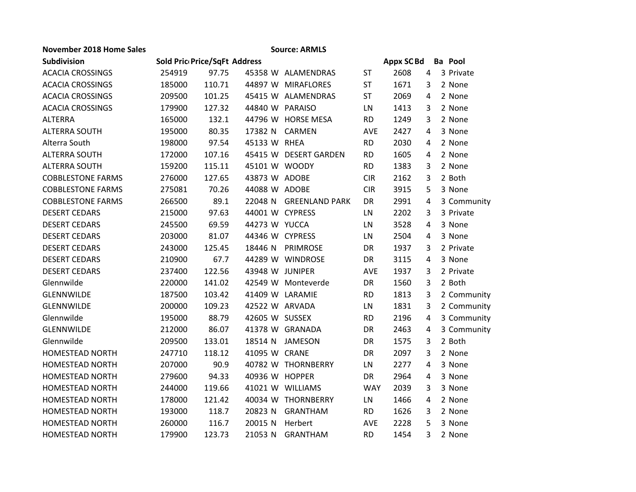| November 2018 Home Sales |        |                              |                 | <b>Source: ARMLS</b>  |            |            |                |                |
|--------------------------|--------|------------------------------|-----------------|-----------------------|------------|------------|----------------|----------------|
| <b>Subdivision</b>       |        | Sold Pric Price/SqFt Address |                 |                       |            | Appx SC Bd |                | <b>Ba</b> Pool |
| <b>ACACIA CROSSINGS</b>  | 254919 | 97.75                        |                 | 45358 W ALAMENDRAS    | <b>ST</b>  | 2608       | 4              | 3 Private      |
| <b>ACACIA CROSSINGS</b>  | 185000 | 110.71                       |                 | 44897 W MIRAFLORES    | <b>ST</b>  | 1671       | 3              | 2 None         |
| <b>ACACIA CROSSINGS</b>  | 209500 | 101.25                       |                 | 45415 W ALAMENDRAS    | <b>ST</b>  | 2069       | 4              | 2 None         |
| <b>ACACIA CROSSINGS</b>  | 179900 | 127.32                       | 44840 W PARAISO |                       | LN         | 1413       | 3              | 2 None         |
| <b>ALTERRA</b>           | 165000 | 132.1                        |                 | 44796 W HORSE MESA    | <b>RD</b>  | 1249       | $\overline{3}$ | 2 None         |
| <b>ALTERRA SOUTH</b>     | 195000 | 80.35                        | 17382 N         | <b>CARMEN</b>         | <b>AVE</b> | 2427       | 4              | 3 None         |
| Alterra South            | 198000 | 97.54                        | 45133 W RHEA    |                       | <b>RD</b>  | 2030       | 4              | 2 None         |
| <b>ALTERRA SOUTH</b>     | 172000 | 107.16                       |                 | 45415 W DESERT GARDEN | <b>RD</b>  | 1605       | 4              | 2 None         |
| <b>ALTERRA SOUTH</b>     | 159200 | 115.11                       | 45101 W WOODY   |                       | <b>RD</b>  | 1383       | 3              | 2 None         |
| <b>COBBLESTONE FARMS</b> | 276000 | 127.65                       | 43873 W ADOBE   |                       | <b>CIR</b> | 2162       | 3              | 2 Both         |
| <b>COBBLESTONE FARMS</b> | 275081 | 70.26                        | 44088 W ADOBE   |                       | <b>CIR</b> | 3915       | 5              | 3 None         |
| <b>COBBLESTONE FARMS</b> | 266500 | 89.1                         | 22048 N         | <b>GREENLAND PARK</b> | DR         | 2991       | $\overline{a}$ | 3 Community    |
| <b>DESERT CEDARS</b>     | 215000 | 97.63                        | 44001 W CYPRESS |                       | LN         | 2202       | 3              | 3 Private      |
| <b>DESERT CEDARS</b>     | 245500 | 69.59                        | 44273 W YUCCA   |                       | LN         | 3528       | 4              | 3 None         |
| <b>DESERT CEDARS</b>     | 203000 | 81.07                        | 44346 W CYPRESS |                       | LN         | 2504       | 4              | 3 None         |
| <b>DESERT CEDARS</b>     | 243000 | 125.45                       | 18446 N         | <b>PRIMROSE</b>       | DR         | 1937       | 3              | 2 Private      |
| <b>DESERT CEDARS</b>     | 210900 | 67.7                         |                 | 44289 W WINDROSE      | DR         | 3115       | $\overline{4}$ | 3 None         |
| <b>DESERT CEDARS</b>     | 237400 | 122.56                       | 43948 W JUNIPER |                       | <b>AVE</b> | 1937       | 3              | 2 Private      |
| Glennwilde               | 220000 | 141.02                       |                 | 42549 W Monteverde    | DR         | 1560       | 3              | 2 Both         |
| GLENNWILDE               | 187500 | 103.42                       | 41409 W LARAMIE |                       | <b>RD</b>  | 1813       | 3              | 2 Community    |
| GLENNWILDE               | 200000 | 109.23                       | 42522 W ARVADA  |                       | LN         | 1831       | 3              | 2 Community    |
| Glennwilde               | 195000 | 88.79                        | 42605 W SUSSEX  |                       | <b>RD</b>  | 2196       | $\overline{a}$ | 3 Community    |
| GLENNWILDE               | 212000 | 86.07                        |                 | 41378 W GRANADA       | DR         | 2463       | 4              | 3 Community    |
| Glennwilde               | 209500 | 133.01                       | 18514 N         | JAMESON               | DR         | 1575       | 3              | 2 Both         |
| <b>HOMESTEAD NORTH</b>   | 247710 | 118.12                       | 41095 W CRANE   |                       | DR         | 2097       | 3              | 2 None         |
| <b>HOMESTEAD NORTH</b>   | 207000 | 90.9                         |                 | 40782 W THORNBERRY    | LN         | 2277       | 4              | 3 None         |
| <b>HOMESTEAD NORTH</b>   | 279600 | 94.33                        | 40936 W HOPPER  |                       | DR         | 2964       | 4              | 3 None         |
| HOMESTEAD NORTH          | 244000 | 119.66                       |                 | 41021 W WILLIAMS      | <b>WAY</b> | 2039       | 3              | 3 None         |
| HOMESTEAD NORTH          | 178000 | 121.42                       |                 | 40034 W THORNBERRY    | LN         | 1466       | 4              | 2 None         |
| <b>HOMESTEAD NORTH</b>   | 193000 | 118.7                        | 20823 N         | <b>GRANTHAM</b>       | <b>RD</b>  | 1626       | 3              | 2 None         |
| <b>HOMESTEAD NORTH</b>   | 260000 | 116.7                        | 20015 N         | Herbert               | <b>AVE</b> | 2228       | 5              | 3 None         |
| <b>HOMESTEAD NORTH</b>   | 179900 | 123.73                       | 21053 N         | <b>GRANTHAM</b>       | <b>RD</b>  | 1454       | 3              | 2 None         |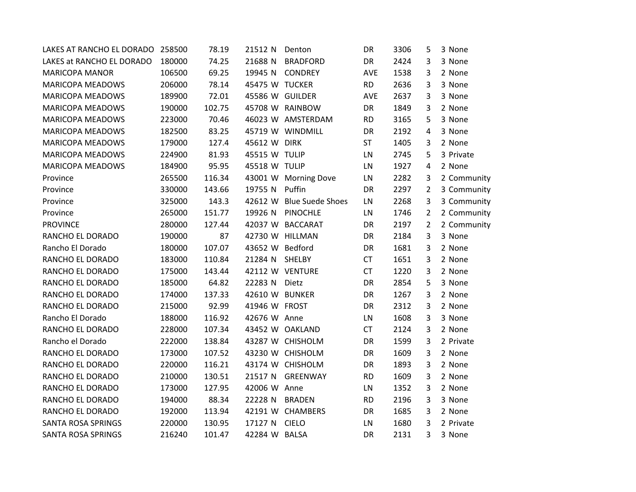| LAKES AT RANCHO EL DORADO 258500 |        | 78.19  | 21512 N         | Denton                   | DR        | 3306 | 5              | 3 None      |
|----------------------------------|--------|--------|-----------------|--------------------------|-----------|------|----------------|-------------|
| LAKES at RANCHO EL DORADO        | 180000 | 74.25  | 21688 N         | <b>BRADFORD</b>          | DR        | 2424 | 3              | 3 None      |
| <b>MARICOPA MANOR</b>            | 106500 | 69.25  | 19945 N         | <b>CONDREY</b>           | AVE       | 1538 | 3              | 2 None      |
| <b>MARICOPA MEADOWS</b>          | 206000 | 78.14  | 45475 W TUCKER  |                          | <b>RD</b> | 2636 | 3              | 3 None      |
| <b>MARICOPA MEADOWS</b>          | 189900 | 72.01  | 45586 W GUILDER |                          | AVE       | 2637 | 3              | 3 None      |
| <b>MARICOPA MEADOWS</b>          | 190000 | 102.75 |                 | 45708 W RAINBOW          | DR        | 1849 | 3              | 2 None      |
| <b>MARICOPA MEADOWS</b>          | 223000 | 70.46  |                 | 46023 W AMSTERDAM        | <b>RD</b> | 3165 | 5              | 3 None      |
| MARICOPA MEADOWS                 | 182500 | 83.25  |                 | 45719 W WINDMILL         | DR        | 2192 | $\overline{4}$ | 3 None      |
| <b>MARICOPA MEADOWS</b>          | 179000 | 127.4  | 45612 W DIRK    |                          | <b>ST</b> | 1405 | 3              | 2 None      |
| <b>MARICOPA MEADOWS</b>          | 224900 | 81.93  | 45515 W TULIP   |                          | LN        | 2745 | 5              | 3 Private   |
| <b>MARICOPA MEADOWS</b>          | 184900 | 95.95  | 45518 W TULIP   |                          | LN        | 1927 | $\overline{4}$ | 2 None      |
| Province                         | 265500 | 116.34 |                 | 43001 W Morning Dove     | LN        | 2282 | 3              | 2 Community |
| Province                         | 330000 | 143.66 | 19755 N         | Puffin                   | DR        | 2297 | $\overline{2}$ | 3 Community |
| Province                         | 325000 | 143.3  |                 | 42612 W Blue Suede Shoes | LN        | 2268 | 3              | 3 Community |
| Province                         | 265000 | 151.77 |                 | 19926 N PINOCHLE         | LN        | 1746 | $\overline{2}$ | 2 Community |
| <b>PROVINCE</b>                  | 280000 | 127.44 |                 | 42037 W BACCARAT         | DR        | 2197 | $\overline{2}$ | 2 Community |
| RANCHO EL DORADO                 | 190000 | 87     |                 | 42730 W HILLMAN          | DR        | 2184 | 3              | 3 None      |
| Rancho El Dorado                 | 180000 | 107.07 | 43652 W Bedford |                          | DR        | 1681 | 3              | 2 None      |
| RANCHO EL DORADO                 | 183000 | 110.84 | 21284 N         | <b>SHELBY</b>            | <b>CT</b> | 1651 | 3              | 2 None      |
| RANCHO EL DORADO                 | 175000 | 143.44 |                 | 42112 W VENTURE          | <b>CT</b> | 1220 | 3              | 2 None      |
| RANCHO EL DORADO                 | 185000 | 64.82  | 22283 N         | Dietz                    | DR        | 2854 | 5              | 3 None      |
| RANCHO EL DORADO                 | 174000 | 137.33 | 42610 W BUNKER  |                          | <b>DR</b> | 1267 | 3              | 2 None      |
| RANCHO EL DORADO                 | 215000 | 92.99  | 41946 W FROST   |                          | DR        | 2312 | 3              | 2 None      |
| Rancho El Dorado                 | 188000 | 116.92 | 42676 W Anne    |                          | LN        | 1608 | 3              | 3 None      |
| RANCHO EL DORADO                 | 228000 | 107.34 |                 | 43452 W OAKLAND          | <b>CT</b> | 2124 | 3              | 2 None      |
| Rancho el Dorado                 | 222000 | 138.84 |                 | 43287 W CHISHOLM         | DR        | 1599 | 3              | 2 Private   |
| RANCHO EL DORADO                 | 173000 | 107.52 |                 | 43230 W CHISHOLM         | DR        | 1609 | 3              | 2 None      |
| RANCHO EL DORADO                 | 220000 | 116.21 |                 | 43174 W CHISHOLM         | DR        | 1893 | 3              | 2 None      |
| RANCHO EL DORADO                 | 210000 | 130.51 | 21517 N         | <b>GREENWAY</b>          | <b>RD</b> | 1609 | 3              | 2 None      |
| RANCHO EL DORADO                 | 173000 | 127.95 | 42006 W Anne    |                          | LN        | 1352 | 3              | 2 None      |
| RANCHO EL DORADO                 | 194000 | 88.34  | 22228 N         | <b>BRADEN</b>            | <b>RD</b> | 2196 | 3              | 3 None      |
| RANCHO EL DORADO                 | 192000 | 113.94 |                 | 42191 W CHAMBERS         | DR        | 1685 | 3              | 2 None      |
| <b>SANTA ROSA SPRINGS</b>        | 220000 | 130.95 | 17127 N         | <b>CIELO</b>             | LN        | 1680 | 3              | 2 Private   |
| <b>SANTA ROSA SPRINGS</b>        | 216240 | 101.47 | 42284 W BALSA   |                          | DR        | 2131 | $\overline{3}$ | 3 None      |
|                                  |        |        |                 |                          |           |      |                |             |